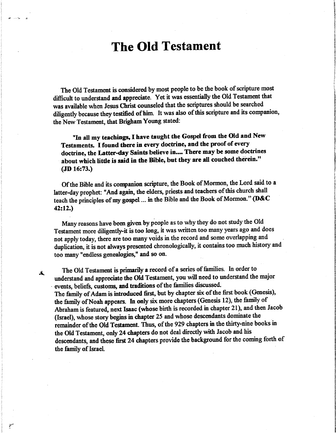# The Old Testament

The Old Testament is considered by most people to be the book of scripture most difficult to understand and appreciate. Yet it was essentially the Old Testament that was available when Jesus Christ counseled that the scriptures should be searched diligently because they testified of him. It was also of this scripture and its companion, the New Testament, that Brigham Young stated:

"In all my teachings, I have taught the Gospel from the Old and New Testaments. I found there in every doctrine, and the proof of every doctrine, the Latter-day Saints believe in.... There may be some doctrines about which little is said in the Bible, but they are all couched therein." (JD 16:73.)

Of the Bible and its companion scripture, the Book of Mormon, the Lord said to a latter-day prophet: "And again, the elders, priests and teachers of this church shall teach the principles of my gospel ... in the Bible and the Book of Mormon." (D&C 42:12.)

Many reasons have been given by people as to why they do not study the Old Testament more diligently-it is too long, it was written too many years ago and does not apply today, there are too many voids in the record and some overlapping and duplication, it is not always presented chronologically, it contains too much history and too many "endless genealogies," and so on.

The Old Testament is primarily a record of a series of families. In order to understand and appreciate the Old Testament, you will need to understand the major events, beliefs, customs, and traditions of the famihes discussed. The family of Adam is introduced first, but by chapter six of the first book (Genesis), the family of Noah appears. In only six more chapters (Genesis 12), the family of Abraham is featured, next Isaac (whose birth is recorded in chapter 21), and then Jacob (Israel), whose story begins in chapter 25 and whose descendants dominate the remainder of the Old Testament. Thus, of the 929 chapters in the thirty-nine books in the Old Testament, only 24 chapters do not deal directly with Jacob and his descendants, and these first 24 chapters provide the background for the coming forth of the family of Israel

 $\star$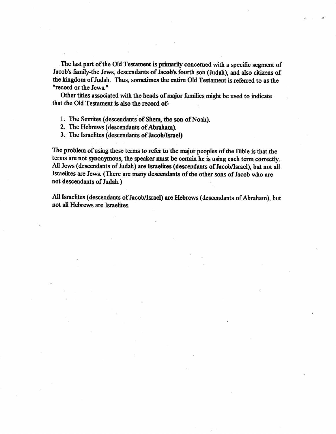The last part of the Old Testament is primarily concerned with a specific segment of Jacob's family-the Jews, descendants of Jacob's fourth son (Judah), and also citizens of the kingdom of Judah. Thus, sometimes the entire Old Testament is referred to as the "record or the Jews."

Other titles associated with the heads of major families might be used to indicate that the Old Testament is also the record of-

1. The Semites (descendants of Shem, the son of Noah).

2. The Hebrews (descendants of Abraham).

3. The Israelites (descendants of Jacob/Israel)

The problem of using these terms to refer to the major peoples of the Bible is that the terms are not synonymous, the speaker must be certain he is using each term correctly. All Jews (descendants of Judah) are Israelites (descendants of Jacob/Israel), but not all Israelites are Jews. (There are many descendants of the other sons of Jacob who are not descendants of Judah.)

All Israelites (descendants of Jacob/Israel) are Hebrews (descendants of Abraham), but not all Hebrews are Israelites.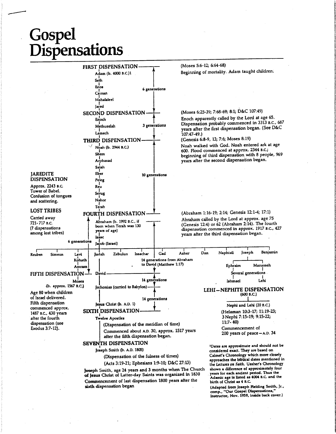# Gospel Dispensations



Joseph Smith, age 24 years and 3 months when The Church of Jesus Christ of Latter-day Saints was organized in 1830 Commencement of last dispensadon 1800 years after the sixth dispensadon began

Adamic age is listed as 4004 B.C. and the birth of Christ as 4 B.C. (Adapted from Joseph Belding Smith, Jr., comp., "Our Gospel Dispensations," Instructor, Nov. 1959, inside back cover.)

shows a difterence of approximately four years for each ancient period. Thus the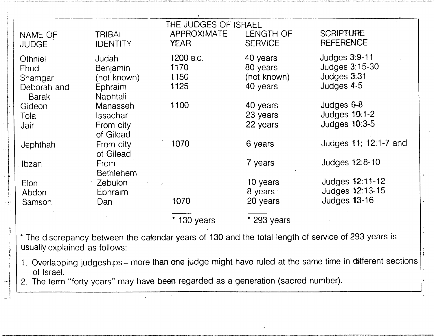| NAME OF<br><b>JUDGE</b>                                          | TRIBAL<br><b>IDENTITY</b>                                      | THE JUDGES OF ISRAEL<br><b>APPROXIMATE</b><br><b>YEAR</b> | <b>LENGTH OF</b><br><b>SERVICE</b>              | <b>SCRIPTURE</b><br><b>REFERENCE</b>                                  |
|------------------------------------------------------------------|----------------------------------------------------------------|-----------------------------------------------------------|-------------------------------------------------|-----------------------------------------------------------------------|
| Othniel<br><b>Ehud</b><br>Shamgar<br>Deborah and<br><b>Barak</b> | Judah<br><b>Benjamin</b><br>(not known)<br>Ephraim<br>Naphtali | 1200 в.с.<br>1170<br>1150<br>1125                         | 40 years<br>80 years<br>(not known)<br>40 years | Judges $3:9-11$<br><b>Judges 3:15-30</b><br>Judges 3:31<br>Judges 4-5 |
| Gideon<br>Tola<br>Jair                                           | Manasseh<br>Issachar<br>From city<br>of Gilead                 | 1100                                                      | 40 years<br>23 years<br>22 years                | Judges 6-8<br>Judges 10:1-2<br><b>Judges 10:3-5</b>                   |
| Jephthah                                                         | From city<br>of Gilead                                         | 1070                                                      | 6 years                                         | Judges 11; 12:1-7 and                                                 |
| Ibzan                                                            | <b>From</b><br><b>Bethlehem</b>                                |                                                           | 7 years                                         | Judges 12:8-10                                                        |
| Elon<br>Abdon                                                    | Zebulon<br>Ephraim<br>Dan                                      | $\sim$<br>1070                                            | 10 years<br>8 years<br>20 years                 | Judges 12:11-12<br>Judges 12:13-15<br><b>Judges 13-16</b>             |
| Samson                                                           |                                                                | $*$ 130 years                                             | $*$ 293 years                                   |                                                                       |

\* The discrepancy between the calendar years of 130 and the total length of service of 293 years is usually explained as follows:

1. Overlapping judgeships-more than one judge might have ruled at the same time in different sections of Israel.

2. The term "forty years" may have been regarded as a generation (sacred number).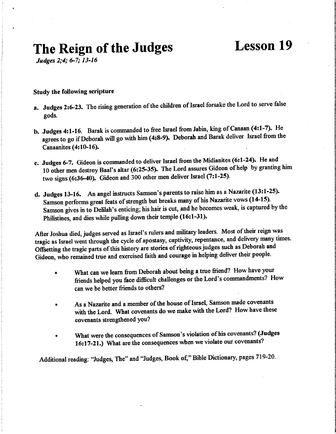# The Reign of the Judges Lesson 19

Judges 2;4; 6-7; 13-16

#### Study the following scripture

- a. Judges 2:6-23. The rising generation of the children of Israel forsake the Lord to serve felse gods.
- b. Judges 4:1-16. Barak is commanded to free Israel from Jabin, king of Canaan (4:1-7). He agrees to go if Deborah will go with him (4:8-9). Deborah and Barak deliver Israel from the Canaanites (4:10-16).
- c. Judges 6-7. Gideon is commanded to deliver Israel from the Midianites (6:1-24). He and 10 other men destroy Baal's altar (6:25-35). The Lord assures Gideon of help by granting him two signs (6:36-40). Gideon and 300 other men deliver Israel (7:1-25).
- d. Judges 13-16. An angel instructs Samson's parents to raise him as a Nazarite (13:1-25). Samson performs great feats of strength but breaks many of his Nazarite vows (14-15). Samson gives in to Delilah's enticing; his hair is cut, and he becomes weak, is captured by the Philistines, and dies while pulling down their temple (16:1-31).

After Joshua died, judges served as Israel's rulers and military leaders. Most of their reign was tragic as Israel went through the cycle of apostasy, captivity, repentance, and delivery many times. Ofisetting the tragic parts of this history are stories of righteous judges such as Deborah and Gideon, who remained true and exercised faith and courage in helping deliver their people.

- What can we learn from Deborah about being a true friend? How have your friends helped you face difficult challenges or the Lord's commandments? How can we be better friends to others?
- As a Nazarite and a member of the house of Israel, Samson made covenants with the Lord. What covenants do we make with the Lord? How have these covenants strengthened you?
- What were the consequences of Samson's violation of his covenants? (Judges 16:17-21.) What are the consequences when we violate our covenants?

Additional reading: "Judges, The" and "Judges, Book of," Bible Dictionary, pages 719-20.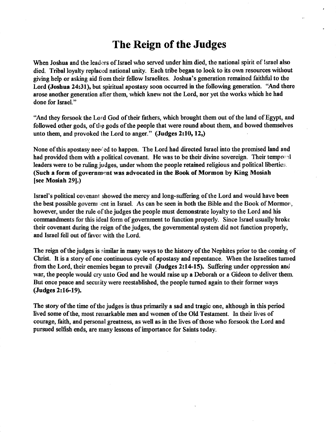# The Reign of the Judges

When Joshua and the leaders of Israel who served under him died, the national spirit of Israel also died. Tribal loyalty replaced national unity. Each tribe began to look to its own resources without giving help or asking aid fiom their fellow Israelites. Joshua's generation remained faithfid to the Lord (Joshua 24:31), but spiritual apostasy soon occurred in the following generation. "And there arose another generation after them, which knew not the Lord, nor yet the works which he had done for Israel."

"And they forsook the Lord God of their fathers, which brought them out of the land of Egypt, and followed other gods, of the gods of the people that were round about them, and bowed themselves unto them, and provoked the Lord to anger." (Judges 2:10, 12,)

None of this apostasy needed to happen. The Lord had directed Israel into the promised land and had provided them with a political covenant. He was to be their divine sovereign. Their temporal leaders were to be ruling judges, under whom the people retained religious and political liberties. (Such a form of government was advocated in the Book of Mormon by King Mosiah [see Mosiah 29].)

Israel's political covenant showed the mercy and long-suffering of the Lord and would have been the best possible governight in Israel. As can be seen in both the Bible and the Book of Mormon, however, under the rule of the judges the people must demonstrate loyalty to the Lord and his commandments for this ideal form of government to function properly. Since Israel usually broke their covenant during the reign of the judges, the governmental system did not function properly, and Israel fell out of favor with the Lord.

The reign of the judges is similar in many ways to the history of the Nephites prior to the coming of Christ. It is a story of one continuous cycle of apostasy and repentance. When the Israelites turned from the Lord, their enemies began to prevail (Judges 2:14-15). Suffering under oppression and war, the people would cry unto God and he would raise up a Deborah or a Gideon to deliver them But once peace and security were reestablished, the people turned again to their former ways (Judges 2:16-19).

The story of the time of the judges is thus primarily a sad and tragic one, although m this period lived some of the, most remarkable men and women of the Old Testament. In their lives of courage, faith, and personal greatness, as well as in the lives of those who forsook the Lord and pursued selfish ends, are many lessons of importance for Saints today.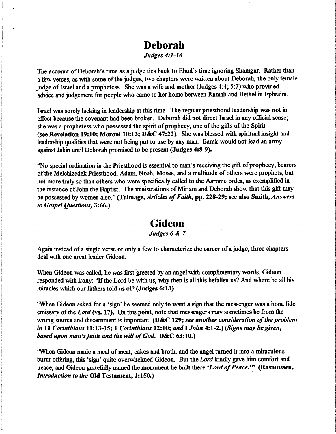## Deborah

#### Judges 4:1-16

The account of Deborah's time as a judge ties back to Ehud's time ignoring Shamgar. Rather than a few verses, as with some of the judges, two chapters were written about Deborah, the only female judge of Israel and a prophetess. She was a wife and mother (Judges 4:4; 5:7) who provided advice and judgement for people who came to her home between Ramah and Bethel in Ephraim.

Israel was sorely lacking in leadership at this time. The regular priesthood leadership was not in effect because the covenant had been broken. Deborah did not direct Israel in any official sense; she was a prophetess who possessed the spirit of prophecy, one of the gifts of the Spirit (see Revelation 19:10; Moroni 10:13; D&C 47:22). She was blessed with spiritual insight and leadership qualities that were not being put to use by any man. Barak would not lead an army against Jabin until Deborah promised to be present (Judges 4:8-9).

"No special ordination in the Priesthood is essential to man's receiving the gift of prophecy; bearers of the Melchizedek Priesthood, Adam, Noah, Moses, and a multitude of others were prophets, but not more truly so than others who were specifically called to the Aaronic order, as exemplified in the instance of John the Baptist. The ministrations of Miriam and Deborah show that this gift may be possessed by women also." (Talmage, Articles of Faith, pp. 228-29; see also Smith, Answers to Gospel Questions, 3:66.)

### Gideon

#### Judges 6 & 7

Again instead of a single verse or only a few to characterize the career of a judge, three chapters deal with one great leader Gideon.

When Gideon was called, he was first greeted by an angel with complimentary words. Gideon responded with irony: 'Tf the Lord be with us, why then is all this befallen us? And where be all his miracles which our fathers told us of? (Judges 6:13)

"When Gideon asked for a 'sign' he seemed only to want a sign that the messenger was a bona fide emissary of the Lord (vs. 17). On this point, note that messengers may sometimes be from the wrong source and discernment is important. (D&C 129; see another consideration of the problem in 11 Corinthians  $11:13-15$ ; 1 Corinthians 12:10; and I John 4:1-2.) (Signs may be given, based upon man's faith and the will of God. D&C 63:10.)

"When Gideon made a meal of meat, cakes and broth, and the angel turned it into a miraculous burnt offering, this 'sign' quite overwhelmed Gideon. But the Lord kindly gave him comfort and peace, and Gideon gratefully named the monument he built there 'Lord of Peace.'" (Rasmussen, Introduction to the Old Testament, 1:150.)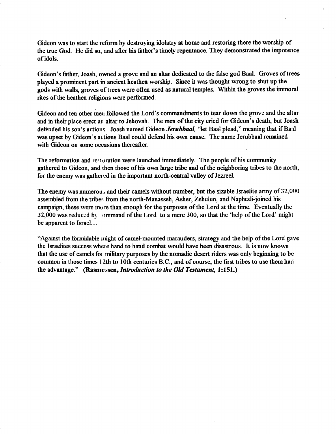Gideon was to start the reform by destroying idolatry at home and restoring there the worship of the true God. He did so, and after his father's timely repentance. They demonstrated the impotence of idols.

Gideon's father, Joash, owned a grove and an altar dedicated to the false god Baal. Groves of trees played a prominent part in ancient heathen worship. Since it was thought wrong to shut up the gods with walls, groves of trees were often used as natural temples. Within the groves the immoral rites of the heathen religions were performed.

Gideon and ten other men followed the Lord's commandments to tear down the grove and the altar and in their place erect an altar to Jehovah. The men of the city cried for Gideon's death, but Joash defended his son's actions. Joash named Gideon Jerubbaal, "let Baal plead," meaning that if Baal was upset by Gideon's actions Baal could defend his own cause. The name Jerubbaal remained with Gideon on some occasions thereafter.

The reformation and re; (oration were launched immediately. The people of his community gathered to Gideon, and then those of his own large tribe and of the neighboring tribes to the north, for the enemy was gathered in the important north-central valley of Jezreel.

The enemy was numerous and their camels without number, but the sizable Israelite army of 32,000 assembled from the tribes from the north-Manasseh, Asher, Zebulun, and Naphtali-joined his campaign, these were more than enough for the purposes of the Lord at the time. Eventually the 32,000 was reduced by ommand of the Lord to a mere 300, so that the 'help of the Lord' might be apparent to Israel....

"Against the formidable might of camel-mounted marauders, strategy and the help of the Lord gave the Israelites success where hand to hand combat would have been disastrous. It is now known that the use of camels for military purposes by the nomadic desert riders was only beginning to be common in those times 12th to 10th centuries B.C., and of course, the first tribes to use them had the advantage." (Rasmussen, Introduction to the Old Testament, 1:151.)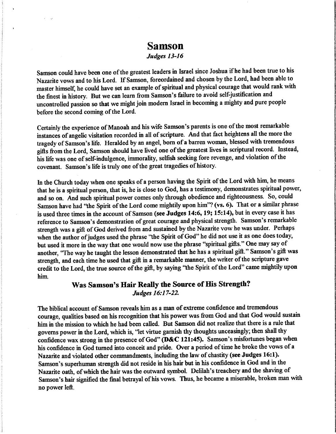### Samson

 $\mathcal{L}^{\pm}$ 

#### Judges 13-16

Samson could have been one of the greatest leaders in Israel since Joshua if he had been true to his Nazarite vows and to his Lord. If Samson, foreordained and chosen by the Lord, had been able to master himself, he could have set an example of spiritual and physical courage that would rank with the finest in history. But we can leam from Samson's failure to avoid self-justification and imcontrolled passion so that we might join modem Israel in becoming a mighty and pure people before the second coming of the Lord.

Certainly the experience of Manoah and his wife Samson's parents is one of the most remarkable instances of angelic visitation recorded in all of scripture. And that fact heightens all the more the tragedy of Samson's life. Heralded by an angel, bom of a barren woman, blessed with tremendous gifts from the Lord, Samson should have lived one of the greatest lives in scriptural record. Instead, his life was one of self-indulgence, immorahty, selfish seeking fore revenge, and violation of the covenant. Samson's life is truly one of the great tragedies of history.

In the Church today when one speaks of a person having the Spirit of the Lord with him, he means that he is a spiritual person, that is, he is close to God, has a testimony, demonstrates spiritual power, and so on. And such spiritual power comes only through obedience and righteousness. So, could Samson have had "the Spirit of the Lord come mightily upon him"? (vs. 6). That or a similar phrase is used three times in the account of Samson (see Judges 14:6, 19; 15:14), but in every case it has reference to Samson's demonstration of great courage and physical strength. Samson's remarkable strength was a gift of God derived from and sustained by the Nazarite vow he was under. Perhaps when the author of judges used the phrase "the Spirit of God" he did not use it as one does today, but used it more in the way that one would now use the phrase "spiritual gifts." One may say of another, "The way he taught the lesson demonstrated that he has a spiritual gift." Samson's gift was strength, and each time he used that gift in a remarkable manner, the writer of the scripture gave credit to the Lord, the true source of the gift, by saying "the Spirit of the Lord" came mightily upon him.

#### Was Samson's Hair Really the Source of His Strength? Judges 16:17-22.

The biblical account of Samson reveals him as a man of extreme confidence and tremendous courage, qualities based on his recognition that his power was from God and that God would sustain him in the mission to which he had been called. But Samson did not realize that there is a rule that governs power in the Lord, which is, "let virtue garnish thy thoughts unceasingly; then shall thy confidence wax strong in the presence of God" (D&C 121:45). Samson's misfortunes began when his confidence in God turned into conceit and pride. Over a period of time he broke the vows of a Nazarite and violated other commandments, including the law of chastity (see Judges 16:1). Samson's superhuman strength did not reside in his hair but in his confidence in God and in the Nazarite oath, of which the hair was the outward symbol. Delilah's treachery and the shaving of Samson's hair signified the final betrayal of his vows. Thus, he became a miserable, broken man with no power left.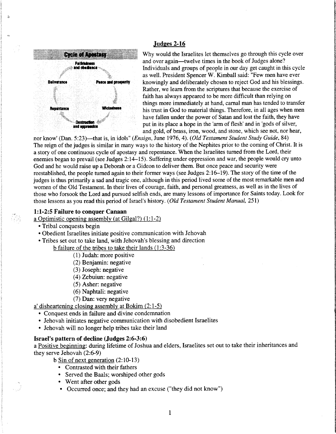

 $\ddot{\phantom{a}}$ 

#### Judges 2-16

Cycle of Apostasy Why would the Israelites let themselves go through this cycle over and over again—twelve times in the book of Judges alone? turn the book of Judges alone?<br> **Entimately and groups** of people in our day get caught in this cycle<br> **Individuals and groups of people in our day get caught in this cycle** as well. President Spencer W. Kimball said: "Few men have ever Deliverance **the case and prosperity** knowingly and deliberately chosen to reject God and his blessings. Rather, we learn from the scriptures that because the exercise of faith has always appeared to be more difficult than relying on things more immediately at hand, carnal man has tended to transfer Repentance Witchester his trust in God to material things. Therefore, in all ages when men have fallen under the power of Satan and lost the faith, they have **Exploration**  $\ddot{\bullet}$  put in its place a hope in the 'arm of flesh' and in 'gods of silver, and gold, of brass, iron, wood, and stone, which see not, nor hear,

nor know' (Dan. 5:23)—that is, in idols" (*Ensign*, June 1976, 4). (Old Testament Student Study Guide, 84) The reign of the judges is similar in many ways to the history of the Nephites prior to the coming of Christ. It is a story of one continuous cycle of apostasy and repentance. When the Israelites turned from the Lord, their enemies began to prevail (see Judges 2:14-15). Suffering under oppression and war, the people would cry unto God and he would raise up a Deborah or a Gideon to deliver them. But once peace and security were reestablished, the people tumed again to their former ways (see Judges 2:16-19). The story of the time of the judges is thus primarily a sad and tragic one, although in this period lived some of the most remarkable men and women of the Old Testament. In their lives of courage, faith, and personal greatness, as well as in the lives of those who forsook the Lord and pursued selfish ends, are many lessons of importance for Saints today. Look for those lessons as you read this period of Israel's history. {Old Testament Student Manual, 251)

#### 1:1-2:5 Failure to conquer Canaan

a Optimistic opening assemblv (at Gilgal?) (1:1-2)

- Tribal conquests begin
- Obedient Israelites initiate positive communication with Jehovah
- Tribes set out to take land, with Jehovah's blessing and direction

b failure of the tribes to take their lands (1:3-36)

- (1) Judah: more positive
- (2) Benjamin: negative
- (3) Joseph: negative
- (4) Zebuiun: negative
- (5) Asher: negative
- (6) Naphtali: negative
- (7) Dan: very negative

a' disheartening closing assembly at Bokim  $(2:1-5)$ 

- Conquest ends in failure and divine condemnation
- Jehovah initiates negative communication with disobedient Israelites
- Jehovah will no longer help tribes take their land

#### Israel's pattern of decline (Judges 2:6-3:6)

a Positive beginning: during lifetime of Joshua and elders, Israelites set out to take their inheritances and they serve Jehovah (2:6-9)

- b Sin of next generation (2:10-13)
	- Contrasted with their fathers
	- Served the Baals; worshiped other gods
	- Went after other gods
	- Occurred once; and they had an excuse ("they did not know")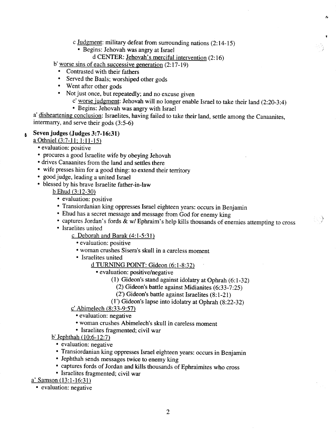- c Judgment: military defeat from surrounding nations (2:14-15)
	- Begins: Jehovah was angry at Israel
		- d CENTER: Jehovah's merciful intervention (2:16)

b' worse sins of each successive generation  $(2:17-19)$ 

- Contrasted with their fathers
- Served the Baals; worshiped other gods
- Went after other gods
- Not just once, but repeatedly; and no excuse given
	- c' worse judgment: Jehovah will no longer enable Israel to take their land (2:20-3:4)

ŕ,

 $\langle \cdot \rangle$ 

• Begins: Jehovah was angry with Israel

a' disheartening conclusion: Israelites, having failed to take their land, settle among the Canaanites, intermarry, and serve their gods (3:5-6)

#### Seven judges (Judges 3:7-16:31)  $\mathbf{a}$

a Othniel (3:7-11; 1:11-15)

- evaluation: positive
- procures a good Israelite wife by obeying Jehovah
- drives Canaanites from the land and settles there
- wife presses him for a good thing; to extend their territory
- good judge, leading a united Israel
- blessed by his brave Israelite father-in-law

 $b$  Ehud  $(3:12-30)$ 

- evaluation: positive
- Transiordanian king oppresses Israel eighteen years: occurs in Benjamin
- Ehud has a secret message and message from God for enemy king
- captures Jordan's fords  $\tilde{\&}$  w/ Ephraim's help kills thousands of enemies attempting to cross
- Israelites united
	- c Deborah and Barak (4:1-5:31)
		- evaluation: positive
		- woman crushes Sisera's skull in a careless moment
		- Israelites united

d TURNING POINT: Gideon (6:1-8:321

- evaluation: positive/negative
	- (1) Gideon's stand against idolatry at Ophrah (6:1-32)
		- (2) Gideon's battle against Midianites (6:33-7:25)
		- (2') Gideon's battle against Israelites (8:1-21)
	- (T) Gideon's lapse into idolatry at Ophrah (8:22-32)
- c' Abimelech (8:33-9:57)
	- evaluation: negative
	- woman crushes Abimelech's skull in careless moment
	- Israelites fragmented; civil war

 $b'$  Jephthah  $(10:6-12:7)$ 

- evaluation: negative
- Transiordanian king oppresses Israel eighteen years: occurs in Benjamin
- Jephthah sends messages twice to enemy king
- captures fords of Jordan and kills thousands of Ephraimites who cross
- Israelites fragmented; civil war

 $a'$  Samson (13:1-16:31)

• evaluation: negative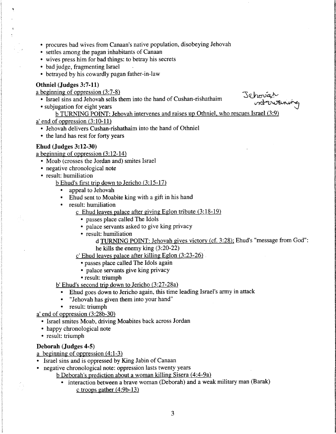- procures bad wives from Canaan's native population, disobeying Jehovah
- settles among the pagan inhabitants of Canaan
- wives press him for bad things: to betray his secrets
- bad judge, fragmenting Israel
- betrayed by his cowardly pagan father-in-law

#### Othniel (Judges 3:7-11)

a beginning of oppression (3:7-8)

- Israel sins and Jehovah sells them into the hand of Cushan-rishathaim 4^ beginning of oppression (3:1-8)<br>• Israel sins and Jehovah sells them into the hand of Cushan-rishathaim<br>• subjugation for eight years
- 

- b TURNING POINT: Jehovah intervenes and raises up Othniel. who rescues Israel (3:9)
- a' end of oppression (3:10-11)
	- Jehovah delivers Cushan-rishathaim into the hand of Othniel
	- the land has rest for forty years

#### Ehud (Judges 3:12-30)

a beginning of oppression (3:12-14)

- Moab (crosses the Jordan and) smites Israel
- negative chronological note
- result: humiliation

bEhud's first trip down to Jericho (3:15-17)

- appeal to Jehovah
- Ehud sent to Moabite king with a gift in his hand
- result: humiliation
	- c Ehud leaves palace after giving Eglon tribute (3:18-19)
		- passes place called The Idols
		- palace servants asked to give king privacy
		- result: humiliation
			- d TURNING POINT: Jehovah gives victorv (cf. 3:28): Ehud's "message from God" he kills the enemy king (3:20-22)
	- c' Ehud leaves palace after killing Eglon (3:23-26)
		- passes place called The Idols again
		- palace servants give king privacy
		- result: triumph

b' Ehud's second trip down to Jericho (3:27-28a)

- Ehud goes down to Jericho again, this time leading Israel's army in attack
- "Jehovah has given them into your hand"
- result: triumph
- a' end of oppression (3:28b-30)
	- Israel smites Moab, driving Moabites back across Jordan
	- happy chronological note
	- result: triumph

#### Deborah (Judges 4-5)

- a beginning of oppression (4:1-3)
- Israel sins and is oppressed by King Jabin of Canaan
- negative chronological note: oppression lasts twenty years
	- b Deborah's prediction about a woman killing Sisera (4:4-9a)
		- interaction between a brave woman (Deborah) and a weak military man (Barak) c troops gather (4:9b-13)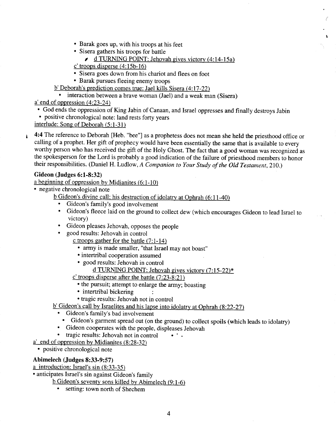- Barak goes up, with his troops at his feet
- Sisera gathers his troops for battle
	- / d TURNING POINT: Jehovah gives victory (4:14-15a)
- $c'$  troops disperse (4:15b-16)
- Sisera goes down from his chariot and flees on foot
- Barak pursues fleeing enemy troops
- b' Deborah's prediction comes true: Jael kills Sisera (4:17-22)

• interaction between a brave woman (Jael) and a weak man (Sisera)  $a'$  end of oppression (4:23-24)

- God ends the oppression of King Jabin of Canaan, and Israel oppresses and finally destroys Jabin
- positive chronological note: land rests forty years
- interlude: Song of Deborah (5:1-31)
- 4:4 The reference to Deborah [Heb. "bee"] as a prophetess does not mean she held the priesthood office or calling of a prophet. Her gift of prophecy would have been essentially the same that is available to every worthy person who has received the gift of the Holy Ghost. The fact that a good woman was recognized as the spokesperson for the Lord is probably a good indication of the failure of priesthood members to honor their responsibilities. (Daniel H. Ludlow, A Companion to Your Study of the Old Testament, 210.)

#### Gideon (Judges 6:1-8:32)

 $\mathbf{r}$ 

a beginning of oppression bv Midianites (6:1-10)

- negative chronological note
	- b Gideon's divine call: his destruction of idolatrv at Ophrah (6:11-40)
		- Gideon's family's good involvement
		- Gideon's fleece laid on the ground to collect dew (which encourages Gideon to lead Israel to victory)
		- Gideon pleases Jehovah, opposes the people
		- good results: Jehovah in control
			- c troops gather for the battle (7:1-14)
				- army is made smaller, "that Israel may not boast"
				- intertribal cooperation assumed
			- good results: Jehovah in control
				- d TURNING POINT: Jehovah gives victorv (7:15-22)\*
			- c' troops disperse after the battle (7:23-8:21)
				- the pursuit; attempt to enlarge the army; boasting
				- intertribal bickering
			- tragic results: Jehovah not in control
	- b' Gideon's call by Israelites and his lapse into idolatry at Ophrah (8:22-27)
		- Gideon's family's bad involvement
			- Gideon's garment spread out (on the ground) to collect spoils (which leads to idolatry)
		- Gideon cooperates with the people, displeases Jehovah
	- tragic results: Jehovah not in control ' -
- a' end of oppression by Midianites (8:28-32)

• positive chronological note

#### Abimelech (Judges 8:33-9:57)

a introduction: Israel's sin  $(8:33-35)$ 

• anticipates Israel's sin against Gideon's family

 $b$  Gideon's seventy sons killed by Abimelech (9:1-6)

• setting: town north of Shechem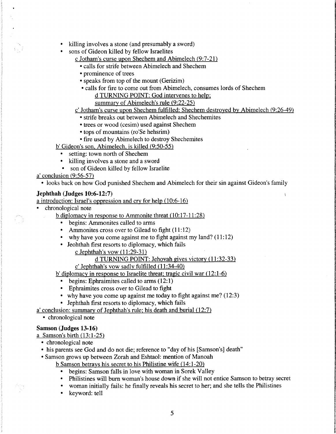- killing involves a stone (and presumably a sword)
- sons of Gideon killed by fellow Israelites
	- c Jotham's curse upon Shechem and Abimelech (9:7-21)
		- calls for strife between Abimelech and Shechem
		- prominence of trees
		- speaks from top of the mount (Gerizim)
		- calls for fire to come out from Abimelech, consumes lords of Shechem d TURNING POINT: God intervenes to help:

summarv of Abimelech's rule (9:22-25)

#### c' Jotham's curse upon Shechem fulfilled: Shechem destroved bv Abimelech (9:26-49)

- strife breaks out between Abimelech and Shechemites
- trees or wood (cesim) used against Shechem
- tops of mountains (ro'Se hehsrim)
- fire used by Abimelech to destroy Shechemites

b' Gideon's son. Abimelech. is killed (9:50-55)

- setting: town north of Shechem
- killing involves a stone and a sword
- son of Gideon killed by fellow Israelite

#### $a'$  conclusion (9:56-57)

• looks back on how God punished Shechem and Abimelech for their sin against Gideon's family

#### $Jephthah$  ( $Judges$  10:6-12:7)

a introduction: Israel's oppression and crv for help (10:6-16)

• chronological note

b diplomacv in response to Ammonite threat (10:17-11:28)

- begins: Ammonites called to arms
- Ammonites cross over to Gilead to fight (11:12)
- why have you come against me to fight against my land?  $(11:12)$
- Jeohthah first resorts to diplomacy, which fails
	- c Jephthah's vow (11:29-31)

#### d TURNING POINT: Jehovah gives victory (11:32-33)

c' Jephthah's vow sadlv fulfilled (11:34-40)

b' diplomacv in response to Israelite threat: tragic civil war (12:1-6)

- begins: Ephraimites called to arms (12:1)
- Ephraimites cross over to Gilead to fight
- why have you come up against me today to fight against me? (12:3)
- Jephthah first resorts to diplomacy, which fails

<sup>a</sup>' conclusion: summarv of Jephthah's rule: his death and burial (12:7)

• chronological note

#### Samson (Judges 13-16)

a Samson's birth (13:1-25)

- chronological note
- his parents see God and do not die; reference to "day of his [Samson's] death"
- Samson grows up between Zorah and Eshtaol: mention of Manoah

b Samson betravs his secret to his Philistine wife (14:1-20)

- begins: Samson falls in love with woman in Sorek Valley
- Philistines will bum woman's house down if she will not entice Samson to betray secret
- woman initially fails: he finally reveals his secret to her; and she tells the Philistines
- keyword: tell